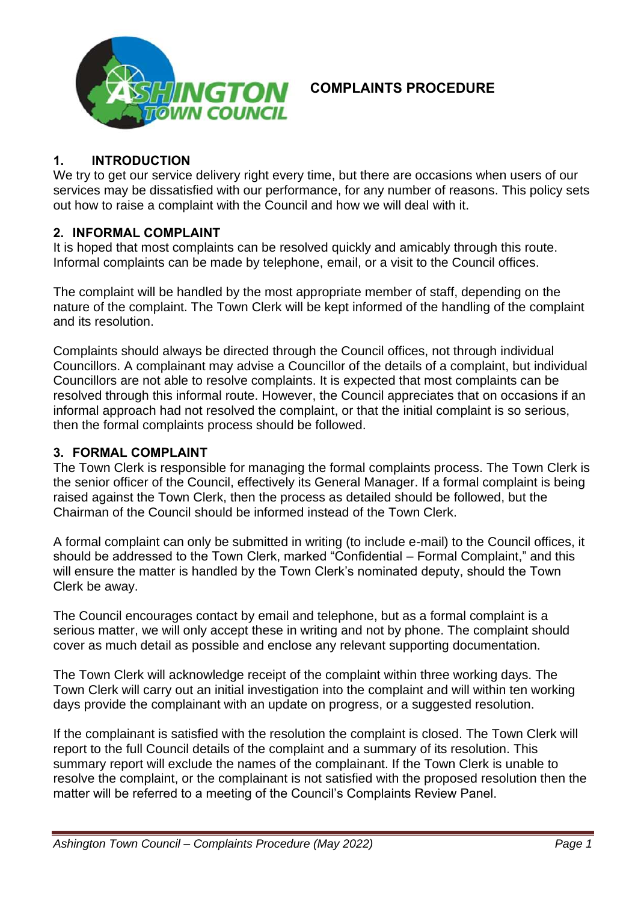

### **1. INTRODUCTION**

We try to get our service delivery right every time, but there are occasions when users of our services may be dissatisfied with our performance, for any number of reasons. This policy sets out how to raise a complaint with the Council and how we will deal with it.

### **2. INFORMAL COMPLAINT**

It is hoped that most complaints can be resolved quickly and amicably through this route. Informal complaints can be made by telephone, email, or a visit to the Council offices.

The complaint will be handled by the most appropriate member of staff, depending on the nature of the complaint. The Town Clerk will be kept informed of the handling of the complaint and its resolution.

Complaints should always be directed through the Council offices, not through individual Councillors. A complainant may advise a Councillor of the details of a complaint, but individual Councillors are not able to resolve complaints. It is expected that most complaints can be resolved through this informal route. However, the Council appreciates that on occasions if an informal approach had not resolved the complaint, or that the initial complaint is so serious, then the formal complaints process should be followed.

### **3. FORMAL COMPLAINT**

The Town Clerk is responsible for managing the formal complaints process. The Town Clerk is the senior officer of the Council, effectively its General Manager. If a formal complaint is being raised against the Town Clerk, then the process as detailed should be followed, but the Chairman of the Council should be informed instead of the Town Clerk.

A formal complaint can only be submitted in writing (to include e-mail) to the Council offices, it should be addressed to the Town Clerk, marked "Confidential – Formal Complaint," and this will ensure the matter is handled by the Town Clerk's nominated deputy, should the Town Clerk be away.

The Council encourages contact by email and telephone, but as a formal complaint is a serious matter, we will only accept these in writing and not by phone. The complaint should cover as much detail as possible and enclose any relevant supporting documentation.

The Town Clerk will acknowledge receipt of the complaint within three working days. The Town Clerk will carry out an initial investigation into the complaint and will within ten working days provide the complainant with an update on progress, or a suggested resolution.

If the complainant is satisfied with the resolution the complaint is closed. The Town Clerk will report to the full Council details of the complaint and a summary of its resolution. This summary report will exclude the names of the complainant. If the Town Clerk is unable to resolve the complaint, or the complainant is not satisfied with the proposed resolution then the matter will be referred to a meeting of the Council's Complaints Review Panel.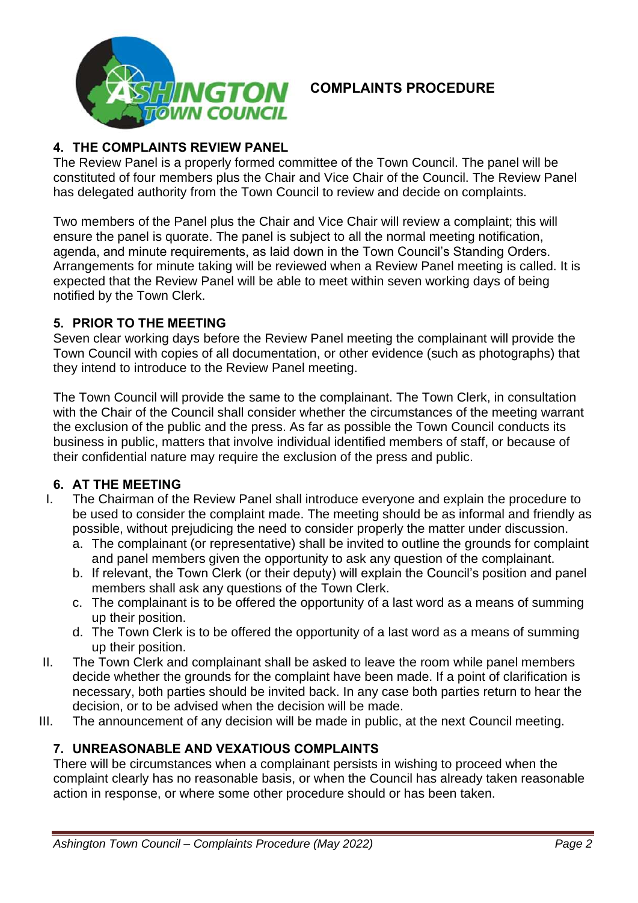

## **4. THE COMPLAINTS REVIEW PANEL**

The Review Panel is a properly formed committee of the Town Council. The panel will be constituted of four members plus the Chair and Vice Chair of the Council. The Review Panel has delegated authority from the Town Council to review and decide on complaints.

Two members of the Panel plus the Chair and Vice Chair will review a complaint; this will ensure the panel is quorate. The panel is subject to all the normal meeting notification, agenda, and minute requirements, as laid down in the Town Council's Standing Orders. Arrangements for minute taking will be reviewed when a Review Panel meeting is called. It is expected that the Review Panel will be able to meet within seven working days of being notified by the Town Clerk.

#### **5. PRIOR TO THE MEETING**

Seven clear working days before the Review Panel meeting the complainant will provide the Town Council with copies of all documentation, or other evidence (such as photographs) that they intend to introduce to the Review Panel meeting.

The Town Council will provide the same to the complainant. The Town Clerk, in consultation with the Chair of the Council shall consider whether the circumstances of the meeting warrant the exclusion of the public and the press. As far as possible the Town Council conducts its business in public, matters that involve individual identified members of staff, or because of their confidential nature may require the exclusion of the press and public.

### **6. AT THE MEETING**

- I. The Chairman of the Review Panel shall introduce everyone and explain the procedure to be used to consider the complaint made. The meeting should be as informal and friendly as possible, without prejudicing the need to consider properly the matter under discussion.
	- a. The complainant (or representative) shall be invited to outline the grounds for complaint and panel members given the opportunity to ask any question of the complainant.
	- b. If relevant, the Town Clerk (or their deputy) will explain the Council's position and panel members shall ask any questions of the Town Clerk.
	- c. The complainant is to be offered the opportunity of a last word as a means of summing up their position.
	- d. The Town Clerk is to be offered the opportunity of a last word as a means of summing up their position.
- II. The Town Clerk and complainant shall be asked to leave the room while panel members decide whether the grounds for the complaint have been made. If a point of clarification is necessary, both parties should be invited back. In any case both parties return to hear the decision, or to be advised when the decision will be made.
- III. The announcement of any decision will be made in public, at the next Council meeting.

### **7. UNREASONABLE AND VEXATIOUS COMPLAINTS**

There will be circumstances when a complainant persists in wishing to proceed when the complaint clearly has no reasonable basis, or when the Council has already taken reasonable action in response, or where some other procedure should or has been taken.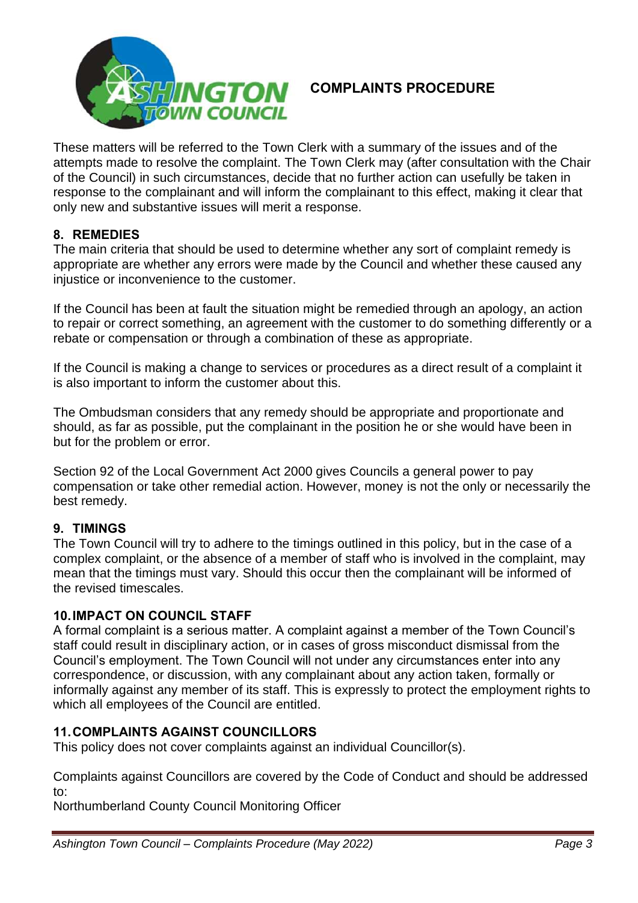

These matters will be referred to the Town Clerk with a summary of the issues and of the attempts made to resolve the complaint. The Town Clerk may (after consultation with the Chair of the Council) in such circumstances, decide that no further action can usefully be taken in response to the complainant and will inform the complainant to this effect, making it clear that only new and substantive issues will merit a response.

### **8. REMEDIES**

The main criteria that should be used to determine whether any sort of complaint remedy is appropriate are whether any errors were made by the Council and whether these caused any injustice or inconvenience to the customer.

If the Council has been at fault the situation might be remedied through an apology, an action to repair or correct something, an agreement with the customer to do something differently or a rebate or compensation or through a combination of these as appropriate.

If the Council is making a change to services or procedures as a direct result of a complaint it is also important to inform the customer about this.

The Ombudsman considers that any remedy should be appropriate and proportionate and should, as far as possible, put the complainant in the position he or she would have been in but for the problem or error.

Section 92 of the Local Government Act 2000 gives Councils a general power to pay compensation or take other remedial action. However, money is not the only or necessarily the best remedy.

## **9. TIMINGS**

The Town Council will try to adhere to the timings outlined in this policy, but in the case of a complex complaint, or the absence of a member of staff who is involved in the complaint, may mean that the timings must vary. Should this occur then the complainant will be informed of the revised timescales.

### **10.IMPACT ON COUNCIL STAFF**

A formal complaint is a serious matter. A complaint against a member of the Town Council's staff could result in disciplinary action, or in cases of gross misconduct dismissal from the Council's employment. The Town Council will not under any circumstances enter into any correspondence, or discussion, with any complainant about any action taken, formally or informally against any member of its staff. This is expressly to protect the employment rights to which all employees of the Council are entitled.

## **11.COMPLAINTS AGAINST COUNCILLORS**

This policy does not cover complaints against an individual Councillor(s).

Complaints against Councillors are covered by the Code of Conduct and should be addressed to:

Northumberland County Council Monitoring Officer